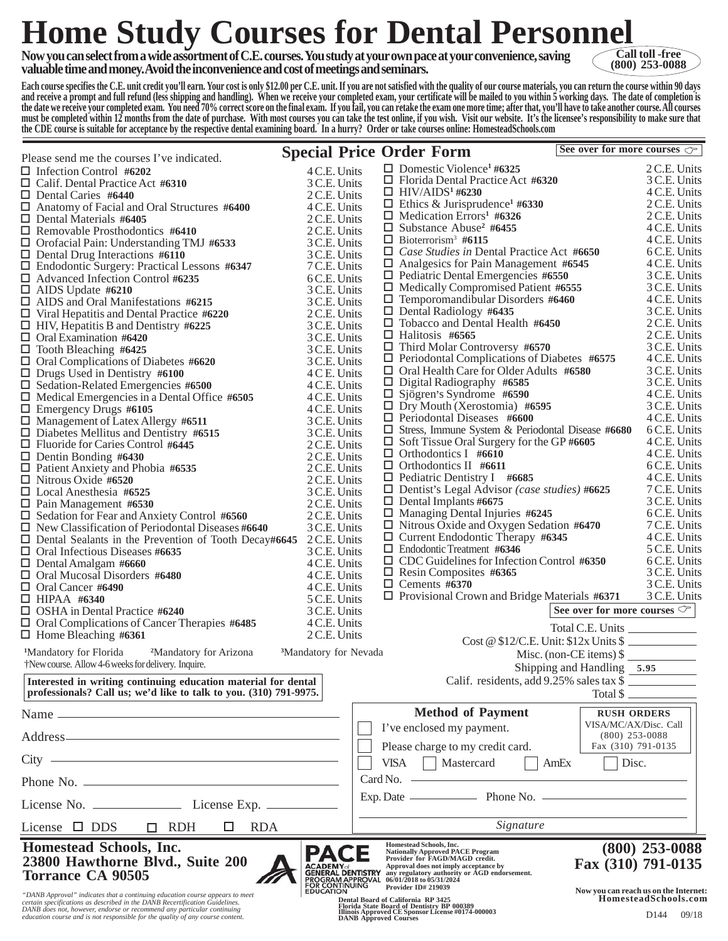## **Home Study Courses for Dental Personnel**

**Now you can select from a wide assortment of C.E. courses. You study at your own pace at your convenience, saving valuable time and money. Avoid the inconvenience and cost of meetings and seminars.**



**Each course specifies the C.E. unit credit you'll earn. Your cost is only \$12.00 per C.E. unit. If you are not satisfied with the quality of our course materials, you can return the course within 90 days and receive a prompt and full refund (less shipping and handling). When we receive your completed exam, your certificate will be mailed to you within 5 working days. The date of completion is the date we receive your completed exam. You need 70% correct score on the final exam. If you fail, you can retake the exam one more time; after that, you'll have to take another course. All courses must be completed within 12 months from the date of purchase. With most courses you can take the test online, if you wish. Visit our website. It's the licensee's responsibility to make sure that the CDE course is suitable for acceptance by the respective dental examining board. In a hurry? Order or take courses online: HomesteadSchools.com**

| Please send me the courses I've indicated.                                                                                                                                                                                                                                                                              |                              |                                   |             | <b>Special Price Order Form</b>                                                                                                                                    | See over for more courses $\sigma$        |                                       |  |
|-------------------------------------------------------------------------------------------------------------------------------------------------------------------------------------------------------------------------------------------------------------------------------------------------------------------------|------------------------------|-----------------------------------|-------------|--------------------------------------------------------------------------------------------------------------------------------------------------------------------|-------------------------------------------|---------------------------------------|--|
| $\Box$ Infection Control #6202                                                                                                                                                                                                                                                                                          | 4 C.E. Units                 |                                   |             | $\Box$ Domestic Violence <sup>1</sup> #6325                                                                                                                        |                                           | 2 C.E. Units                          |  |
| $\Box$ Calif. Dental Practice Act #6310                                                                                                                                                                                                                                                                                 | 3 C.E. Units                 |                                   |             | $\Box$ Florida Dental Practice Act #6320                                                                                                                           |                                           | 3 C.E. Units                          |  |
| $\Box$ Dental Caries #6440                                                                                                                                                                                                                                                                                              | 2 C.E. Units                 |                                   |             | $\Box$ HIV/AIDS <sup>1</sup> #6230                                                                                                                                 |                                           | 4 C.E. Units                          |  |
| $\Box$ Anatomy of Facial and Oral Structures #6400                                                                                                                                                                                                                                                                      | 4 C.E. Units                 |                                   |             | $\Box$ Ethics & Jurisprudence <sup>1</sup> #6330                                                                                                                   |                                           | 2 C.E. Units                          |  |
| $\Box$ Dental Materials #6405                                                                                                                                                                                                                                                                                           | 2 C.E. Units                 |                                   |             | $\Box$ Medication Errors <sup>1</sup> #6326<br>$\Box$ Substance Abuse <sup>2</sup> #6455                                                                           |                                           | 2 C.E. Units                          |  |
| $\Box$ Removable Prosthodontics #6410                                                                                                                                                                                                                                                                                   | 2 C.E. Units                 |                                   |             | $\Box$ Bioterrorism <sup>3</sup> #6115                                                                                                                             |                                           | 4 C.E. Units<br>4 C.E. Units          |  |
| $\Box$ Orofacial Pain: Understanding TMJ #6533<br>$\Box$ Dental Drug Interactions #6110                                                                                                                                                                                                                                 | 3 C.E. Units<br>3 C.E. Units |                                   |             | $\Box$ <i>Case Studies in Dental Practice Act #6650</i>                                                                                                            |                                           | 6 C.E. Units                          |  |
| $\Box$ Endodontic Surgery: Practical Lessons #6347                                                                                                                                                                                                                                                                      | 7 C.E. Units                 |                                   |             | $\Box$ Analgesics for Pain Management #6545                                                                                                                        |                                           | 4 C.E. Units                          |  |
| $\Box$ Advanced Infection Control #6235                                                                                                                                                                                                                                                                                 | 6 C.E. Units                 |                                   |             | $\Box$ Pediatric Dental Emergencies #6550                                                                                                                          |                                           | 3 C.E. Units                          |  |
| $\Box$ AIDS Update #6210                                                                                                                                                                                                                                                                                                | 3 C.E. Units                 |                                   |             | $\Box$ Medically Compromised Patient #6555                                                                                                                         |                                           | 3 C.E. Units                          |  |
| $\Box$ AIDS and Oral Manifestations #6215                                                                                                                                                                                                                                                                               | 3 C.E. Units                 |                                   |             | $\Box$ Temporomandibular Disorders #6460                                                                                                                           |                                           | 4 C.E. Units                          |  |
| $\Box$ Viral Hepatitis and Dental Practice #6220                                                                                                                                                                                                                                                                        | 2 C.E. Units                 |                                   |             | $\Box$ Dental Radiology #6435                                                                                                                                      |                                           | 3 C.E. Units                          |  |
| $\Box$ HIV, Hepatitis B and Dentistry #6225                                                                                                                                                                                                                                                                             | 3 C.E. Units                 |                                   |             | $\Box$ Tobacco and Dental Health #6450<br>$\Box$ Halitosis #6565                                                                                                   |                                           | 2 C.E. Units<br>2 C.E. Units          |  |
| $\Box$ Oral Examination #6420                                                                                                                                                                                                                                                                                           | 3 C.E. Units                 |                                   |             | $\Box$ Third Molar Controversy #6570                                                                                                                               |                                           | 3 C.E. Units                          |  |
| $\Box$ Tooth Bleaching #6425<br>$\Box$ Oral Complications of Diabetes #6620                                                                                                                                                                                                                                             | 3 C.E. Units<br>3 C.E. Units |                                   |             | $\Box$ Periodontal Complications of Diabetes #6575                                                                                                                 |                                           | 4 C.E. Units                          |  |
| $\Box$ Drugs Used in Dentistry #6100                                                                                                                                                                                                                                                                                    | 4 C E. Units                 |                                   |             | $\Box$ Oral Health Care for Older Adults #6580                                                                                                                     |                                           | 3 C.E. Units                          |  |
| $\Box$ Sedation-Related Emergencies #6500                                                                                                                                                                                                                                                                               | 4 C.E. Units                 |                                   |             | $\Box$ Digital Radiography #6585                                                                                                                                   |                                           | 3 C.E. Units                          |  |
| $\Box$ Medical Emergencies in a Dental Office #6505                                                                                                                                                                                                                                                                     | 4 C.E. Units                 |                                   |             | $\Box$ Sjögren's Syndrome #6590                                                                                                                                    |                                           | 4 C.E. Units                          |  |
| $\Box$ Emergency Drugs #6105                                                                                                                                                                                                                                                                                            | 4 C.E. Units                 |                                   |             | $\Box$ Dry Mouth (Xerostomia) #6595                                                                                                                                |                                           | 3 C.E. Units                          |  |
| $\Box$ Management of Latex Allergy #6511                                                                                                                                                                                                                                                                                | 3 C.E. Units                 |                                   |             | $\Box$ Periodontal Diseases #6600                                                                                                                                  |                                           | 4 C.E. Units                          |  |
| $\Box$ Diabetes Mellitus and Dentistry #6515                                                                                                                                                                                                                                                                            | 3 C.E. Units                 |                                   |             | $\Box$ Stress, Immune System & Periodontal Disease #6680<br>$\Box$ Soft Tissue Oral Surgery for the GP #6605                                                       |                                           | 6 C.E. Units<br>4 C.E. Units          |  |
| $\Box$ Fluoride for Caries Control #6445                                                                                                                                                                                                                                                                                | 2 C.E. Units                 |                                   |             | $\Box$ Orthodontics I #6610                                                                                                                                        |                                           | 4 C.E. Units                          |  |
| $\Box$ Dentin Bonding #6430<br>$\Box$ Patient Anxiety and Phobia #6535                                                                                                                                                                                                                                                  | 2 C.E. Units<br>2 C.E. Units |                                   |             | $\Box$ Orthodontics II #6611                                                                                                                                       |                                           | 6 C.E. Units                          |  |
| $\Box$ Nitrous Oxide #6520                                                                                                                                                                                                                                                                                              | 2 C.E. Units                 |                                   |             | $\Box$ Pediatric Dentistry I #6685                                                                                                                                 |                                           | 4 C.E. Units                          |  |
| $\Box$ Local Anesthesia #6525                                                                                                                                                                                                                                                                                           | 3 C.E. Units                 |                                   |             | $\Box$ Dentist's Legal Advisor (case studies) #6625                                                                                                                |                                           | 7 C.E. Units                          |  |
| $\Box$ Pain Management #6530                                                                                                                                                                                                                                                                                            | 2 C.E. Units                 |                                   |             | $\Box$ Dental Implants #6675                                                                                                                                       |                                           | 3 C.E. Units                          |  |
| $\Box$ Sedation for Fear and Anxiety Control #6560                                                                                                                                                                                                                                                                      | 2 C.E. Units                 |                                   |             | $\Box$ Managing Dental Injuries #6245                                                                                                                              |                                           | 6 C.E. Units                          |  |
| $\Box$ New Classification of Periodontal Diseases #6640                                                                                                                                                                                                                                                                 | 3 C.E. Units                 |                                   |             | $\Box$ Nitrous Oxide and Oxygen Sedation #6470                                                                                                                     |                                           | 7 C.E. Units                          |  |
| $\Box$ Dental Sealants in the Prevention of Tooth Decay#6645                                                                                                                                                                                                                                                            | 2 C.E. Units                 |                                   |             | $\Box$ Current Endodontic Therapy #6345<br>$\Box$ Endodontic Treatment #6346                                                                                       |                                           | 4 C.E. Units<br>5 C.E. Units          |  |
| $\Box$ Oral Infectious Diseases #6635                                                                                                                                                                                                                                                                                   | 3 C.E. Units                 |                                   |             | $\Box$ CDC Guidelines for Infection Control #6350                                                                                                                  |                                           | 6 C.E. Units                          |  |
| $\Box$ Dental Amalgam #6660<br>$\Box$ Oral Mucosal Disorders #6480                                                                                                                                                                                                                                                      | 4 C.E. Units<br>4 C.E. Units |                                   |             | $\Box$ Resin Composites #6365                                                                                                                                      |                                           | 3 C.E. Units                          |  |
| $\Box$ Oral Cancer #6490                                                                                                                                                                                                                                                                                                | 4 C.E. Units                 |                                   |             | $\Box$ Cements #6370                                                                                                                                               |                                           | 3 C.E. Units                          |  |
| $\Box$ HIPAA #6340                                                                                                                                                                                                                                                                                                      | 5 C.E. Units                 |                                   |             | $\Box$ Provisional Crown and Bridge Materials #6371                                                                                                                |                                           | 3 C.E. Units                          |  |
| $\Box$ OSHA in Dental Practice #6240                                                                                                                                                                                                                                                                                    | 3 C.E. Units                 |                                   |             |                                                                                                                                                                    | See over for more courses $\mathbb{C}^*$  |                                       |  |
| $\Box$ Oral Complications of Cancer Therapies #6485                                                                                                                                                                                                                                                                     | 4 C.E. Units                 |                                   |             |                                                                                                                                                                    | Total C.E. Units                          |                                       |  |
| $\Box$ Home Bleaching #6361                                                                                                                                                                                                                                                                                             | 2 C.E. Units                 |                                   |             | $Cost @ $12/C.E. Unit: $12x Units $ \fbox{2x}$                                                                                                                     |                                           |                                       |  |
| <sup>1</sup> Mandatory for Florida<br><sup>2</sup> Mandatory for Arizona                                                                                                                                                                                                                                                |                              | <sup>3</sup> Mandatory for Nevada |             |                                                                                                                                                                    | Misc. (non-CE items) $\$                  |                                       |  |
| †New course. Allow 4-6 weeks for delivery. Inquire.                                                                                                                                                                                                                                                                     |                              |                                   |             |                                                                                                                                                                    | Shipping and Handling 5.95                |                                       |  |
| Interested in writing continuing education material for dental                                                                                                                                                                                                                                                          |                              |                                   |             | Calif. residents, add 9.25% sales tax \$                                                                                                                           |                                           |                                       |  |
| professionals? Call us; we'd like to talk to you. (310) 791-9975.                                                                                                                                                                                                                                                       |                              |                                   |             |                                                                                                                                                                    | Total \$                                  |                                       |  |
| Name                                                                                                                                                                                                                                                                                                                    |                              |                                   |             | <b>Method of Payment</b>                                                                                                                                           | <b>RUSH ORDERS</b>                        |                                       |  |
| Address-                                                                                                                                                                                                                                                                                                                |                              |                                   |             | I've enclosed my payment.                                                                                                                                          | VISA/MC/AX/Disc. Call<br>$(800)$ 253-0088 |                                       |  |
|                                                                                                                                                                                                                                                                                                                         |                              |                                   |             | Please charge to my credit card.                                                                                                                                   | Fax (310) 791-0135                        |                                       |  |
| <u> 1980 - Johann Barn, amerikan besteman besteman besteman besteman besteman besteman besteman besteman bestema</u><br>$City -$                                                                                                                                                                                        |                              |                                   | <b>VISA</b> | Mastercard                                                                                                                                                         | Disc.<br>AmEx                             |                                       |  |
|                                                                                                                                                                                                                                                                                                                         |                              |                                   |             | $Card No.$ $\longrightarrow$                                                                                                                                       |                                           |                                       |  |
|                                                                                                                                                                                                                                                                                                                         |                              |                                   |             | $Exp.$ Date $\_\_\_\_\_\_\_\$ Phone No. $\_\_\_\_\_\_\_\_\_\_\_\_\_\_\_\_\_\_\_\_\_$                                                                               |                                           |                                       |  |
| License $\square$ DDS<br>$\Box$ RDH<br><b>RDA</b><br>ப                                                                                                                                                                                                                                                                  |                              |                                   | Signature   |                                                                                                                                                                    |                                           |                                       |  |
| Homestead Schools, Inc.                                                                                                                                                                                                                                                                                                 |                              |                                   |             | Homestead Schools, Inc.                                                                                                                                            |                                           | $(800)$ 253-0088                      |  |
| 23800 Hawthorne Blvd., Suite 200<br><b>Torrance CA 90505</b>                                                                                                                                                                                                                                                            |                              | <b>GENERAL DENTISTRY</b>          |             | <b>Nationally Approved PACE Program</b><br>Provider for FAGD/MAGD credit.<br>Approval does not imply acceptance by<br>any regulatory authority or AGD endorsement. | Fax (310) 791-0135                        |                                       |  |
|                                                                                                                                                                                                                                                                                                                         |                              |                                   |             | <b>PROGRAM APPROVAL</b> 06/01/2018 to 05/31/2024<br>FOR CONTINUING Provider ID# 219039                                                                             |                                           | Now you can reach us on the Internet: |  |
| "DANB Approval" indicates that a continuing education course appears to meet<br>certain specifications as described in the DANB Recertification Guidelines.<br>DANB does not, however, endorse or recommend any particular continuing<br>education course and is not responsible for the quality of any course content. |                              | <b>DANB Approved Courses</b>      |             | Dental Board of California RP 3425<br>Florida State Board of Dentistry BP 000389<br>Illinois Approved CE Sponsor License #0174-000003                              |                                           | HomesteadSchools.com<br>D144<br>09/18 |  |